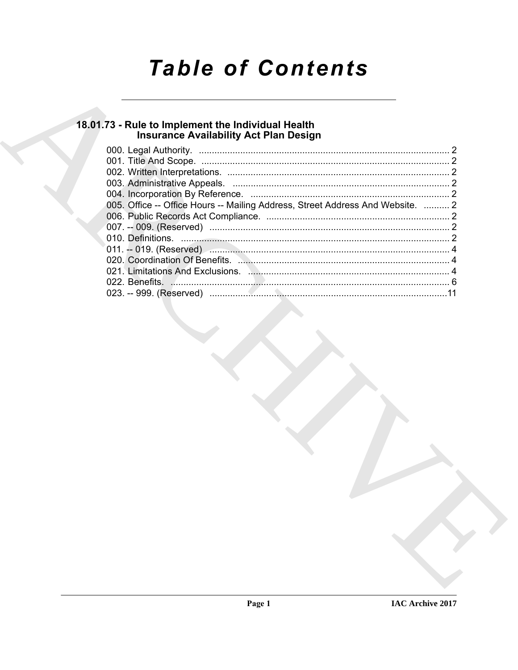# **Table of Contents**

# 18.01.73 - Rule to Implement the Individual Health<br>Insurance Availability Act Plan Design

| 005. Office -- Office Hours -- Mailing Address, Street Address And Website.  2 |  |
|--------------------------------------------------------------------------------|--|
|                                                                                |  |
|                                                                                |  |
|                                                                                |  |
|                                                                                |  |
|                                                                                |  |
|                                                                                |  |
|                                                                                |  |
|                                                                                |  |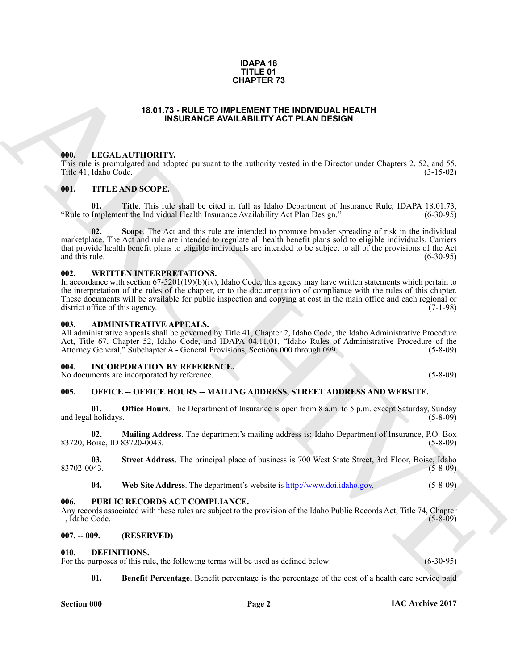# **IDAPA 18 TITLE 01 CHAPTER 73**

# **18.01.73 - RULE TO IMPLEMENT THE INDIVIDUAL HEALTH INSURANCE AVAILABILITY ACT PLAN DESIGN**

# <span id="page-1-1"></span><span id="page-1-0"></span>**000. LEGAL AUTHORITY.**

This rule is promulgated and adopted pursuant to the authority vested in the Director under Chapters 2, 52, and 55, Title 41, Idaho Code.

# <span id="page-1-2"></span>**001. TITLE AND SCOPE.**

**01.** Title. This rule shall be cited in full as Idaho Department of Insurance Rule, IDAPA 18.01.73, Implement the Individual Health Insurance Availability Act Plan Design." (6-30-95) "Rule to Implement the Individual Health Insurance Availability Act Plan Design."

**CHAPTER 73**<br> **CHAPTER 73**<br> **ARCHI[V](http://www.doi.idaho.gov)E AND CONFIDENT THE HIGHER MATE AND INTERFERENCE INTO A CONFIDENT THE INTERFERENCE INDUCED AT THE SET AND THE USE AND CONFIDENT THE USE AND CONFIDENT THE USE AND CONFIDENT THE USE AND IN 02. Scope**. The Act and this rule are intended to promote broader spreading of risk in the individual marketplace. The Act and rule are intended to regulate all health benefit plans sold to eligible individuals. Carriers that provide health benefit plans to eligible individuals are intended to be subject to all of the provisions of the Act and this rule.  $(6-30-95)$ 

# <span id="page-1-3"></span>**002. WRITTEN INTERPRETATIONS.**

In accordance with section 67-5201(19)(b)(iv), Idaho Code, this agency may have written statements which pertain to the interpretation of the rules of the chapter, or to the documentation of compliance with the rules of this chapter. These documents will be available for public inspection and copying at cost in the main office and each regional or district office of this agency. (7-1-98)

## <span id="page-1-4"></span>**003. ADMINISTRATIVE APPEALS.**

All administrative appeals shall be governed by Title 41, Chapter 2, Idaho Code, the Idaho Administrative Procedure Act, Title 67, Chapter 52, Idaho Code, and IDAPA 04.11.01, "Idaho Rules of Administrative Procedure of the Attorney General," Subchapter A - General Provisions, Sections 000 through 099. (5-8-09)

# <span id="page-1-5"></span>**004. INCORPORATION BY REFERENCE.**

No documents are incorporated by reference. (5-8-09)

# <span id="page-1-6"></span>**005. OFFICE -- OFFICE HOURS -- MAILING ADDRESS, STREET ADDRESS AND WEBSITE.**

**01. Office Hours**. The Department of Insurance is open from 8 a.m. to 5 p.m. except Saturday, Sunday and legal holidays.

**02. Mailing Address**. The department's mailing address is: Idaho Department of Insurance, P.O. Box 83720, Boise, ID 83720-0043.

**03. Street Address**. The principal place of business is 700 West State Street, 3rd Floor, Boise, Idaho 83702-0043. (5-8-09)

**04. Web Site Address**. The department's website is http://www.doi.idaho.gov. (5-8-09)

## <span id="page-1-7"></span>**006. PUBLIC RECORDS ACT COMPLIANCE.**

Any records associated with these rules are subject to the provision of the Idaho Public Records Act, Title 74, Chapter 1. Idaho Code. (5-8-09) 1, Idaho Code.

## <span id="page-1-8"></span>**007. -- 009. (RESERVED)**

## <span id="page-1-10"></span><span id="page-1-9"></span>**010. DEFINITIONS.**

For the purposes of this rule, the following terms will be used as defined below:  $(6-30-95)$ 

<span id="page-1-11"></span>**01. Benefit Percentage**. Benefit percentage is the percentage of the cost of a health care service paid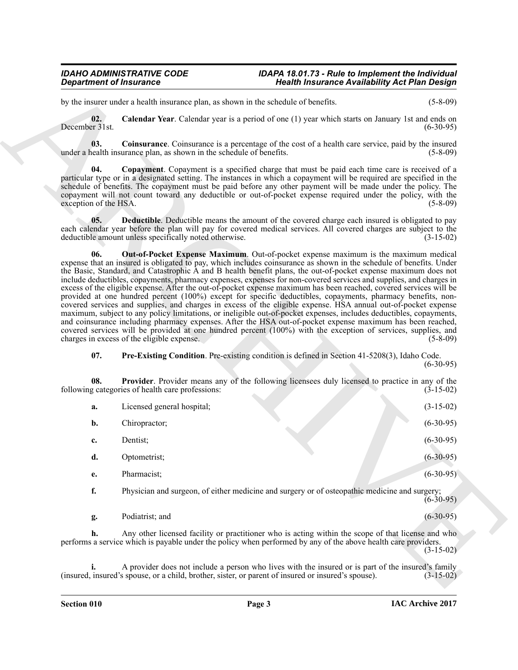<span id="page-2-6"></span><span id="page-2-5"></span><span id="page-2-4"></span><span id="page-2-3"></span><span id="page-2-2"></span><span id="page-2-1"></span><span id="page-2-0"></span>

| <b>Department of Insurance</b> |                                                                                                                                                                                                                                                                                                                                                                                                                                                                                                                                                                                                                                                                                                                                                                                                                                                                                                                                                                                                                                                                                                                        | <b>Health Insurance Availability Act Plan Design</b>                                                       |                |
|--------------------------------|------------------------------------------------------------------------------------------------------------------------------------------------------------------------------------------------------------------------------------------------------------------------------------------------------------------------------------------------------------------------------------------------------------------------------------------------------------------------------------------------------------------------------------------------------------------------------------------------------------------------------------------------------------------------------------------------------------------------------------------------------------------------------------------------------------------------------------------------------------------------------------------------------------------------------------------------------------------------------------------------------------------------------------------------------------------------------------------------------------------------|------------------------------------------------------------------------------------------------------------|----------------|
|                                | by the insurer under a health insurance plan, as shown in the schedule of benefits.                                                                                                                                                                                                                                                                                                                                                                                                                                                                                                                                                                                                                                                                                                                                                                                                                                                                                                                                                                                                                                    |                                                                                                            | $(5 - 8 - 09)$ |
| 02.<br>December 31st.          |                                                                                                                                                                                                                                                                                                                                                                                                                                                                                                                                                                                                                                                                                                                                                                                                                                                                                                                                                                                                                                                                                                                        | <b>Calendar Year</b> . Calendar year is a period of one (1) year which starts on January 1st and ends on   | $(6-30-95)$    |
| 03.                            | under a health insurance plan, as shown in the schedule of benefits.                                                                                                                                                                                                                                                                                                                                                                                                                                                                                                                                                                                                                                                                                                                                                                                                                                                                                                                                                                                                                                                   | <b>Coinsurance</b> . Coinsurance is a percentage of the cost of a health care service, paid by the insured | $(5-8-09)$     |
| 04.<br>exception of the HSA.   | particular type or in a designated setting. The instances in which a copayment will be required are specified in the<br>schedule of benefits. The copayment must be paid before any other payment will be made under the policy. The<br>copayment will not count toward any deductible or out-of-pocket expense required under the policy, with the                                                                                                                                                                                                                                                                                                                                                                                                                                                                                                                                                                                                                                                                                                                                                                    | Copayment. Copayment is a specified charge that must be paid each time care is received of a               | $(5-8-09)$     |
| 05.                            | each calendar year before the plan will pay for covered medical services. All covered charges are subject to the<br>deductible amount unless specifically noted otherwise.                                                                                                                                                                                                                                                                                                                                                                                                                                                                                                                                                                                                                                                                                                                                                                                                                                                                                                                                             | <b>Deductible</b> . Deductible means the amount of the covered charge each insured is obligated to pay     | $(3-15-02)$    |
| 06.                            | expense that an insured is obligated to pay, which includes coinsurance as shown in the schedule of benefits. Under<br>the Basic, Standard, and Catastrophic A and B health benefit plans, the out-of-pocket expense maximum does not<br>include deductibles, copayments, pharmacy expenses, expenses for non-covered services and supplies, and charges in<br>excess of the eligible expense. After the out-of-pocket expense maximum has been reached, covered services will be<br>provided at one hundred percent (100%) except for specific deductibles, copayments, pharmacy benefits, non-<br>covered services and supplies, and charges in excess of the eligible expense. HSA annual out-of-pocket expense<br>maximum, subject to any policy limitations, or ineligible out-of-pocket expenses, includes deductibles, copayments,<br>and coinsurance including pharmacy expenses. After the HSA out-of-pocket expense maximum has been reached,<br>covered services will be provided at one hundred percent (100%) with the exception of services, supplies, and<br>charges in excess of the eligible expense. | Out-of-Pocket Expense Maximum. Out-of-pocket expense maximum is the maximum medical                        | $(5-8-09)$     |
| 07.                            |                                                                                                                                                                                                                                                                                                                                                                                                                                                                                                                                                                                                                                                                                                                                                                                                                                                                                                                                                                                                                                                                                                                        | Pre-Existing Condition. Pre-existing condition is defined in Section 41-5208(3), Idaho Code.               | $(6-30-95)$    |
| 08.                            | following categories of health care professions:                                                                                                                                                                                                                                                                                                                                                                                                                                                                                                                                                                                                                                                                                                                                                                                                                                                                                                                                                                                                                                                                       | <b>Provider</b> . Provider means any of the following licensees duly licensed to practice in any of the    | $(3-15-02)$    |
| a.                             | Licensed general hospital;                                                                                                                                                                                                                                                                                                                                                                                                                                                                                                                                                                                                                                                                                                                                                                                                                                                                                                                                                                                                                                                                                             |                                                                                                            | $(3-15-02)$    |
| b.                             | Chiropractor;                                                                                                                                                                                                                                                                                                                                                                                                                                                                                                                                                                                                                                                                                                                                                                                                                                                                                                                                                                                                                                                                                                          |                                                                                                            | $(6-30-95)$    |
| c.                             | Dentist;                                                                                                                                                                                                                                                                                                                                                                                                                                                                                                                                                                                                                                                                                                                                                                                                                                                                                                                                                                                                                                                                                                               |                                                                                                            | $(6-30-95)$    |
| d.                             | Optometrist;                                                                                                                                                                                                                                                                                                                                                                                                                                                                                                                                                                                                                                                                                                                                                                                                                                                                                                                                                                                                                                                                                                           |                                                                                                            | $(6-30-95)$    |
| e.                             | Pharmacist;                                                                                                                                                                                                                                                                                                                                                                                                                                                                                                                                                                                                                                                                                                                                                                                                                                                                                                                                                                                                                                                                                                            |                                                                                                            | $(6-30-95)$    |
| f.                             |                                                                                                                                                                                                                                                                                                                                                                                                                                                                                                                                                                                                                                                                                                                                                                                                                                                                                                                                                                                                                                                                                                                        | Physician and surgeon, of either medicine and surgery or of osteopathic medicine and surgery;              | $(6-30-95)$    |
| g.                             | Podiatrist; and                                                                                                                                                                                                                                                                                                                                                                                                                                                                                                                                                                                                                                                                                                                                                                                                                                                                                                                                                                                                                                                                                                        |                                                                                                            | $(6-30-95)$    |
| h.                             | performs a service which is payable under the policy when performed by any of the above health care providers.                                                                                                                                                                                                                                                                                                                                                                                                                                                                                                                                                                                                                                                                                                                                                                                                                                                                                                                                                                                                         | Any other licensed facility or practitioner who is acting within the scope of that license and who         | $(3-15-02)$    |
|                                |                                                                                                                                                                                                                                                                                                                                                                                                                                                                                                                                                                                                                                                                                                                                                                                                                                                                                                                                                                                                                                                                                                                        |                                                                                                            |                |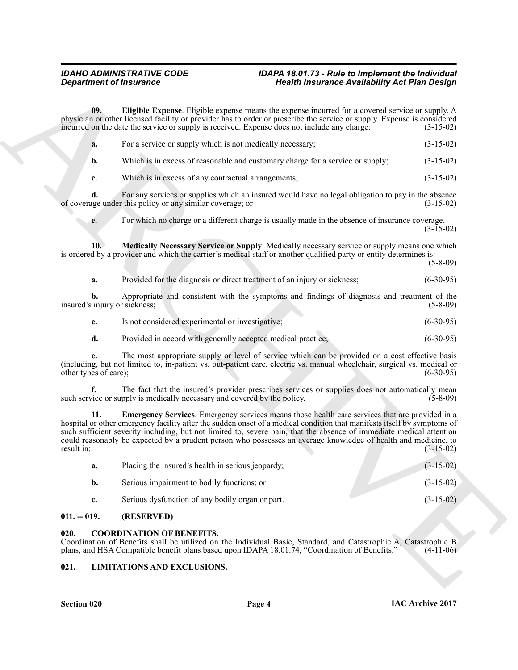<span id="page-3-6"></span><span id="page-3-4"></span>

|                                     | <b>Department of Insurance</b>                                           | <b>Health Insurance Availability Act Plan Design</b>                                                                                                                                                                                                                                                                                                                                                                                                                        |             |
|-------------------------------------|--------------------------------------------------------------------------|-----------------------------------------------------------------------------------------------------------------------------------------------------------------------------------------------------------------------------------------------------------------------------------------------------------------------------------------------------------------------------------------------------------------------------------------------------------------------------|-------------|
| 09.                                 |                                                                          | Eligible Expense. Eligible expense means the expense incurred for a covered service or supply. A<br>physician or other licensed facility or provider has to order or prescribe the service or supply. Expense is considered<br>incurred on the date the service or supply is received. Expense does not include any charge:                                                                                                                                                 | $(3-15-02)$ |
| a.                                  | For a service or supply which is not medically necessary;                |                                                                                                                                                                                                                                                                                                                                                                                                                                                                             | $(3-15-02)$ |
| $\mathbf{b}$ .                      |                                                                          | Which is in excess of reasonable and customary charge for a service or supply;                                                                                                                                                                                                                                                                                                                                                                                              | $(3-15-02)$ |
| c.                                  | Which is in excess of any contractual arrangements;                      |                                                                                                                                                                                                                                                                                                                                                                                                                                                                             | $(3-15-02)$ |
| d.                                  | of coverage under this policy or any similar coverage; or                | For any services or supplies which an insured would have no legal obligation to pay in the absence                                                                                                                                                                                                                                                                                                                                                                          | $(3-15-02)$ |
| e.                                  |                                                                          | For which no charge or a different charge is usually made in the absence of insurance coverage.                                                                                                                                                                                                                                                                                                                                                                             | $(3-15-02)$ |
| 10.                                 |                                                                          | Medically Necessary Service or Supply. Medically necessary service or supply means one which<br>is ordered by a provider and which the carrier's medical staff or another qualified party or entity determines is:                                                                                                                                                                                                                                                          | $(5-8-09)$  |
| a.                                  |                                                                          | Provided for the diagnosis or direct treatment of an injury or sickness;                                                                                                                                                                                                                                                                                                                                                                                                    | $(6-30-95)$ |
| b.<br>insured's injury or sickness; |                                                                          | Appropriate and consistent with the symptoms and findings of diagnosis and treatment of the                                                                                                                                                                                                                                                                                                                                                                                 | $(5-8-09)$  |
| c.                                  | Is not considered experimental or investigative;                         |                                                                                                                                                                                                                                                                                                                                                                                                                                                                             | $(6-30-95)$ |
| d.                                  | Provided in accord with generally accepted medical practice;             |                                                                                                                                                                                                                                                                                                                                                                                                                                                                             | $(6-30-95)$ |
| other types of care);               |                                                                          | The most appropriate supply or level of service which can be provided on a cost effective basis<br>(including, but not limited to, in-patient vs. out-patient care, electric vs. manual wheelchair, surgical vs. medical or                                                                                                                                                                                                                                                 | $(6-30-95)$ |
|                                     | such service or supply is medically necessary and covered by the policy. | The fact that the insured's provider prescribes services or supplies does not automatically mean                                                                                                                                                                                                                                                                                                                                                                            | $(5-8-09)$  |
| 11.<br>result in:                   |                                                                          | <b>Emergency Services</b> . Emergency services means those health care services that are provided in a<br>hospital or other emergency facility after the sudden onset of a medical condition that manifests itself by symptoms of<br>such sufficient severity including, but not limited to, severe pain, that the absence of immediate medical attention<br>could reasonably be expected by a prudent person who possesses an average knowledge of health and medicine, to | $(3-15-02)$ |
| a.                                  | Placing the insured's health in serious jeopardy;                        |                                                                                                                                                                                                                                                                                                                                                                                                                                                                             | $(3-15-02)$ |
| b.                                  | Serious impairment to bodily functions; or                               |                                                                                                                                                                                                                                                                                                                                                                                                                                                                             | $(3-15-02)$ |
| c.                                  | Serious dysfunction of any bodily organ or part.                         |                                                                                                                                                                                                                                                                                                                                                                                                                                                                             | $(3-15-02)$ |
| $011. - 019.$                       | (RESERVED)                                                               |                                                                                                                                                                                                                                                                                                                                                                                                                                                                             |             |
| 020.                                | <b>COORDINATION OF BENEFITS.</b>                                         | Coordination of Benefits shall be utilized on the Individual Basic, Standard, and Catastrophic A, Catastrophic B<br>plans, and HSA Compatible benefit plans based upon IDAPA 18.01.74, "Coordination of Benefits."                                                                                                                                                                                                                                                          | $(4-11-06)$ |
| 021.                                | <b>LIMITATIONS AND EXCLUSIONS.</b>                                       |                                                                                                                                                                                                                                                                                                                                                                                                                                                                             |             |

# <span id="page-3-5"></span><span id="page-3-0"></span>**011. -- 019. (RESERVED)**

# <span id="page-3-3"></span><span id="page-3-1"></span>**020. COORDINATION OF BENEFITS.**

# <span id="page-3-7"></span><span id="page-3-2"></span>**021. LIMITATIONS AND EXCLUSIONS.**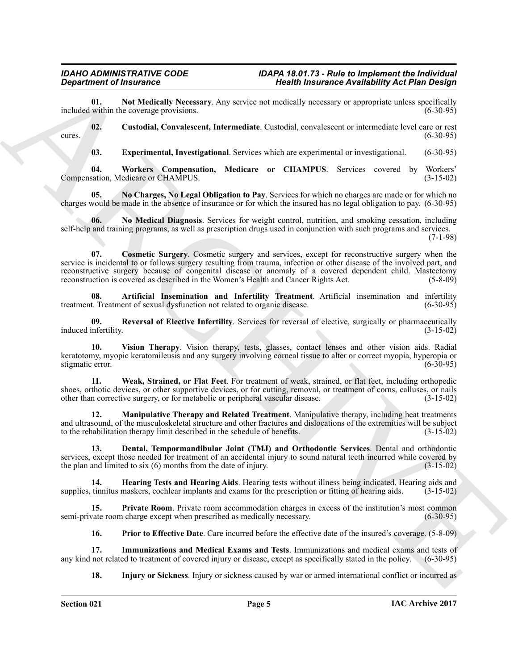<span id="page-4-11"></span>**01. Not Medically Necessary**. Any service not medically necessary or appropriate unless specifically included within the coverage provisions.

**02. Custodial, Convalescent, Intermediate**. Custodial, convalescent or intermediate level care or rest  $\frac{(6-30-95)}{2}$ 

<span id="page-4-17"></span><span id="page-4-9"></span><span id="page-4-4"></span><span id="page-4-2"></span>**03. Experimental, Investigational**. Services which are experimental or investigational. (6-30-95)

**04. Workers Compensation, Medicare or CHAMPUS**. Services covered by Workers' Compensation, Medicare or CHAMPUS. (3-15-02)

**05. No Charges, No Legal Obligation to Pay**. Services for which no charges are made or for which no charges would be made in the absence of insurance or for which the insured has no legal obligation to pay. (6-30-95)

<span id="page-4-10"></span><span id="page-4-1"></span>**06. No Medical Diagnosis**. Services for weight control, nutrition, and smoking cessation, including self-help and training programs, as well as prescription drugs used in conjunction with such programs and services. (7-1-98)

**Considered Transmitter Constraint Constraint Constraint Constraint Constraint Constraint Constraint Constraint<br>
and the state of the state of the state of the state of the state of the state of the state of the state of 07. Cosmetic Surgery**. Cosmetic surgery and services, except for reconstructive surgery when the service is incidental to or follows surgery resulting from trauma, infection or other disease of the involved part, and reconstructive surgery because of congenital disease or anomaly of a covered dependent child. Mastectomy reconstruction is covered as described in the Women's Health and Cancer Rights Act. (5-8-09) reconstruction is covered as described in the Women's Health and Cancer Rights Act.

<span id="page-4-0"></span>**08. Artificial Insemination and Infertility Treatment**. Artificial insemination and infertility t. Treatment of sexual dysfunction not related to organic disease. (6-30-95) treatment. Treatment of sexual dysfunction not related to organic disease.

<span id="page-4-14"></span>**09.** Reversal of Elective Infertility. Services for reversal of elective, surgically or pharmaceutically infertility. (3-15-02) induced infertility.

<span id="page-4-15"></span>**10. Vision Therapy**. Vision therapy, tests, glasses, contact lenses and other vision aids. Radial keratotomy, myopic keratomileusis and any surgery involving corneal tissue to alter or correct myopia, hyperopia or stigmatic error. (6-30-95) stigmatic error.

<span id="page-4-16"></span>**11. Weak, Strained, or Flat Feet**. For treatment of weak, strained, or flat feet, including orthopedic shoes, orthotic devices, or other supportive devices, or for cutting, removal, or treatment of corns, calluses, or nails other than corrective surgery, or for metabolic or peripheral vascular disease. (3-15-02) other than corrective surgery, or for metabolic or peripheral vascular disease.

<span id="page-4-8"></span>**12. Manipulative Therapy and Related Treatment**. Manipulative therapy, including heat treatments and ultrasound, of the musculoskeletal structure and other fractures and dislocations of the extremities will be subject<br>to the rehabilitation therapy limit described in the schedule of benefits. (3-15-02) to the rehabilitation therapy limit described in the schedule of benefits.

<span id="page-4-3"></span>**13. Dental, Tempormandibular Joint (TMJ) and Orthodontic Services**. Dental and orthodontic services, except those needed for treatment of an accidental injury to sound natural teeth incurred while covered by the plan and limited to six (6) months from the date of injury. (3-15-02) the plan and limited to six  $(6)$  months from the date of injury.

<span id="page-4-5"></span>**14. Hearing Tests and Hearing Aids**. Hearing tests without illness being indicated. Hearing aids and tinnitus maskers, cochlear implants and exams for the prescription or fitting of hearing aids. (3-15-02) supplies, tinnitus maskers, cochlear implants and exams for the prescription or fitting of hearing aids.

**15. Private Room**. Private room accommodation charges in excess of the institution's most common vate room charge except when prescribed as medically necessary. (6-30-95) semi-private room charge except when prescribed as medically necessary.

<span id="page-4-13"></span><span id="page-4-12"></span><span id="page-4-6"></span>**16. Prior to Effective Date**. Care incurred before the effective date of the insured's coverage. (5-8-09)

**17.** Immunizations and Medical Exams and Tests. Immunizations and medical exams and tests of not related to treatment of covered injury or disease, except as specifically stated in the policy. (6-30-95) any kind not related to treatment of covered injury or disease, except as specifically stated in the policy.

<span id="page-4-7"></span>**18.** Injury or Sickness. Injury or sickness caused by war or armed international conflict or incurred as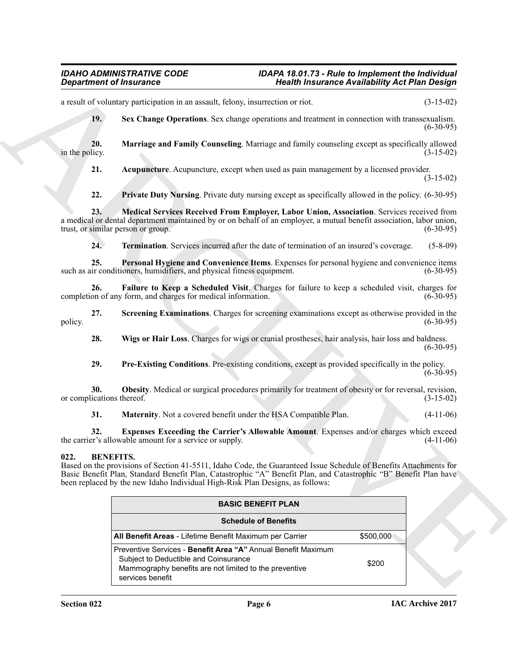<span id="page-5-14"></span><span id="page-5-13"></span><span id="page-5-12"></span><span id="page-5-11"></span><span id="page-5-9"></span><span id="page-5-7"></span><span id="page-5-5"></span><span id="page-5-4"></span><span id="page-5-2"></span>**Experiment of Insurance Theorem is a security Health Fraction column to a second experiment of the state of the state of the state of the state of the state of the state of the state of the state of the state of the stat** a result of voluntary participation in an assault, felony, insurrection or riot. (3-15-02) **19. Sex Change Operations**. Sex change operations and treatment in connection with transsexualism.  $(6-30-95)$ **20. Marriage and Family Counseling**. Marriage and family counseling except as specifically allowed in the policy. **21. Acupuncture**. Acupuncture, except when used as pain management by a licensed provider. (3-15-02) **22. Private Duty Nursing**. Private duty nursing except as specifically allowed in the policy. (6-30-95) **23. Medical Services Received From Employer, Labor Union, Association**. Services received from a medical or dental department maintained by or on behalf of an employer, a mutual benefit association, labor union, trust, or similar person or group. (6-30-95) trust, or similar person or group. **24. Termination**. Services incurred after the date of termination of an insured's coverage. (5-8-09) **25. Personal Hygiene and Convenience Items**. Expenses for personal hygiene and convenience items such as air conditioners, humidifiers, and physical fitness equipment. **26. Failure to Keep a Scheduled Visit**. Charges for failure to keep a scheduled visit, charges for completion of any form, and charges for medical information. **27.** Screening Examinations. Charges for screening examinations except as otherwise provided in the (6-30-95) policy.  $(6-30-95)$ **28. Wigs or Hair Loss**. Charges for wigs or cranial prostheses, hair analysis, hair loss and baldness.  $(6-30-95)$ **29. Pre-Existing Conditions**. Pre-existing conditions, except as provided specifically in the policy.  $(6-30-95)$ **30. Obesity**. Medical or surgical procedures primarily for treatment of obesity or for reversal, revision, ications thereof. (3-15-02) or complications thereof. **31. Maternity**. Not a covered benefit under the HSA Compatible Plan. (4-11-06) **32. Expenses Exceeding the Carrier's Allowable Amount**. Expenses and/or charges which exceed er's allowable amount for a service or supply. (4-11-06) the carrier's allowable amount for a service or supply. **022. BENEFITS.** Based on the provisions of Section 41-5511, Idaho Code, the Guaranteed Issue Schedule of Benefits Attachments for Basic Benefit Plan, Standard Benefit Plan, Catastrophic "A" Benefit Plan, and Catastrophic "B" Benefit Plan have been replaced by the new Idaho Individual High-Risk Plan Designs, as follows: **BASIC BENEFIT PLAN Schedule of Benefits All Benefit Areas** - Lifetime Benefit Maximum per Carrier \$500,000 Preventive Services - **Benefit Area "A"** Annual Benefit Maximum Subject to Deductible and Coinsurance \$200

<span id="page-5-15"></span><span id="page-5-10"></span><span id="page-5-8"></span><span id="page-5-6"></span><span id="page-5-3"></span><span id="page-5-1"></span><span id="page-5-0"></span>Mammography benefits are not limited to the preventive

services benefit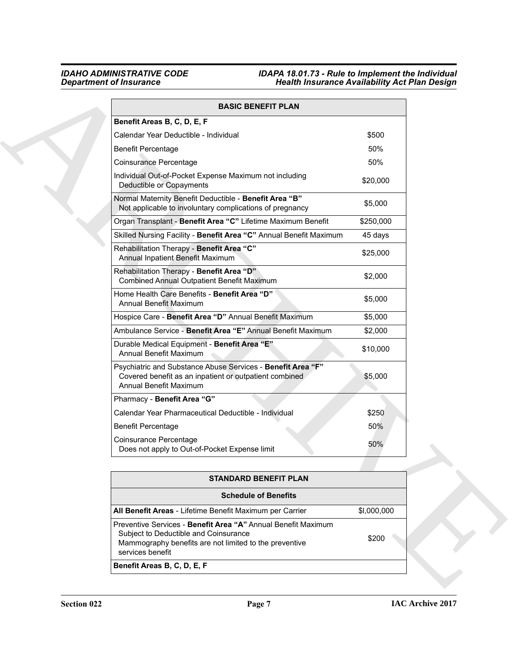| <b>BASIC BENEFIT PLAN</b>                                                                                                                                                            |             |
|--------------------------------------------------------------------------------------------------------------------------------------------------------------------------------------|-------------|
| Benefit Areas B, C, D, E, F                                                                                                                                                          |             |
| Calendar Year Deductible - Individual                                                                                                                                                | \$500       |
| <b>Benefit Percentage</b>                                                                                                                                                            | 50%         |
| Coinsurance Percentage                                                                                                                                                               | 50%         |
| Individual Out-of-Pocket Expense Maximum not including<br>Deductible or Copayments                                                                                                   | \$20,000    |
| Normal Maternity Benefit Deductible - Benefit Area "B"<br>Not applicable to involuntary complications of pregnancy                                                                   | \$5,000     |
| Organ Transplant - Benefit Area "C" Lifetime Maximum Benefit                                                                                                                         | \$250,000   |
| Skilled Nursing Facility - Benefit Area "C" Annual Benefit Maximum                                                                                                                   | 45 days     |
| Rehabilitation Therapy - Benefit Area "C"<br>Annual Inpatient Benefit Maximum                                                                                                        | \$25,000    |
| Rehabilitation Therapy - Benefit Area "D"<br><b>Combined Annual Outpatient Benefit Maximum</b>                                                                                       | \$2,000     |
| Home Health Care Benefits - Benefit Area "D"<br>Annual Benefit Maximum                                                                                                               | \$5,000     |
| Hospice Care - Benefit Area "D" Annual Benefit Maximum                                                                                                                               | \$5,000     |
| Ambulance Service - Benefit Area "E" Annual Benefit Maximum                                                                                                                          | \$2,000     |
| Durable Medical Equipment - Benefit Area "E"<br>Annual Benefit Maximum                                                                                                               | \$10,000    |
| Psychiatric and Substance Abuse Services - Benefit Area "F"<br>Covered benefit as an inpatient or outpatient combined<br>Annual Benefit Maximum                                      | \$5,000     |
| Pharmacy - Benefit Area "G"                                                                                                                                                          |             |
| Calendar Year Pharmaceutical Deductible - Individual                                                                                                                                 | \$250       |
| <b>Benefit Percentage</b>                                                                                                                                                            | 50%         |
| Coinsurance Percentage<br>Does not apply to Out-of-Pocket Expense limit                                                                                                              | 50%         |
| <b>STANDARD BENEFIT PLAN</b>                                                                                                                                                         |             |
|                                                                                                                                                                                      |             |
| <b>Schedule of Benefits</b>                                                                                                                                                          |             |
| All Benefit Areas - Lifetime Benefit Maximum per Carrier                                                                                                                             | \$1,000,000 |
| Preventive Services - Benefit Area "A" Annual Benefit Maximum<br>Subject to Deductible and Coinsurance<br>Mammography benefits are not limited to the preventive<br>services benefit | \$200       |
| Benefit Areas B, C, D, E, F                                                                                                                                                          |             |

| <b>STANDARD BENEFIT PLAN</b>                                                                                                                                                         |             |
|--------------------------------------------------------------------------------------------------------------------------------------------------------------------------------------|-------------|
| <b>Schedule of Benefits</b>                                                                                                                                                          |             |
| All Benefit Areas - Lifetime Benefit Maximum per Carrier                                                                                                                             | \$1,000,000 |
| Preventive Services - Benefit Area "A" Annual Benefit Maximum<br>Subject to Deductible and Coinsurance<br>Mammography benefits are not limited to the preventive<br>services benefit | \$200       |
| Benefit Areas B, C, D, E, F                                                                                                                                                          |             |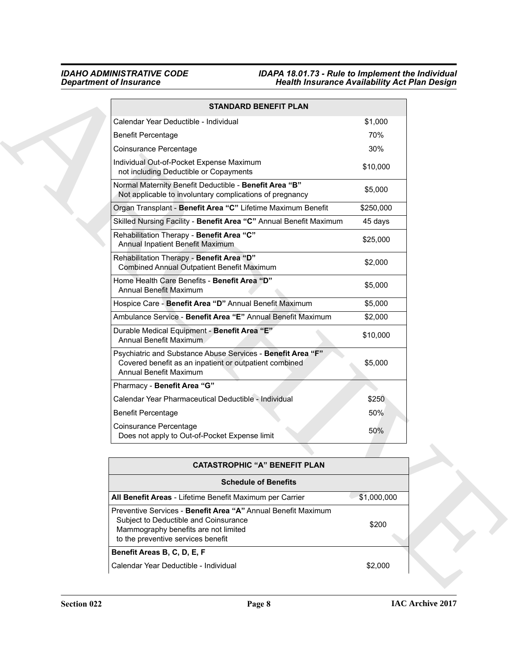| <b>STANDARD BENEFIT PLAN</b>                                                                                                                                                         |             |
|--------------------------------------------------------------------------------------------------------------------------------------------------------------------------------------|-------------|
| Calendar Year Deductible - Individual                                                                                                                                                | \$1,000     |
| <b>Benefit Percentage</b>                                                                                                                                                            | 70%         |
| Coinsurance Percentage                                                                                                                                                               | 30%         |
| Individual Out-of-Pocket Expense Maximum<br>not including Deductible or Copayments                                                                                                   | \$10,000    |
| Normal Maternity Benefit Deductible - Benefit Area "B"<br>Not applicable to involuntary complications of pregnancy                                                                   | \$5,000     |
| Organ Transplant - Benefit Area "C" Lifetime Maximum Benefit                                                                                                                         | \$250,000   |
| Skilled Nursing Facility - Benefit Area "C" Annual Benefit Maximum                                                                                                                   | 45 days     |
| Rehabilitation Therapy - Benefit Area "C"<br>Annual Inpatient Benefit Maximum                                                                                                        | \$25,000    |
| Rehabilitation Therapy - Benefit Area "D"<br>Combined Annual Outpatient Benefit Maximum                                                                                              | \$2,000     |
| Home Health Care Benefits - Benefit Area "D"<br>Annual Benefit Maximum                                                                                                               | \$5,000     |
| Hospice Care - Benefit Area "D" Annual Benefit Maximum                                                                                                                               | \$5,000     |
| Ambulance Service - Benefit Area "E" Annual Benefit Maximum                                                                                                                          | \$2,000     |
| Durable Medical Equipment - Benefit Area "E"<br><b>Annual Benefit Maximum</b>                                                                                                        | \$10,000    |
| Psychiatric and Substance Abuse Services - Benefit Area "F"<br>Covered benefit as an inpatient or outpatient combined<br>Annual Benefit Maximum                                      | \$5,000     |
| Pharmacy - Benefit Area "G"                                                                                                                                                          |             |
| Calendar Year Pharmaceutical Deductible - Individual                                                                                                                                 | \$250       |
| <b>Benefit Percentage</b>                                                                                                                                                            | 50%         |
| Coinsurance Percentage<br>Does not apply to Out-of-Pocket Expense limit                                                                                                              | 50%         |
| <b>CATASTROPHIC "A" BENEFIT PLAN</b>                                                                                                                                                 |             |
| <b>Schedule of Benefits</b>                                                                                                                                                          |             |
| All Benefit Areas - Lifetime Benefit Maximum per Carrier                                                                                                                             | \$1,000,000 |
| Preventive Services - Benefit Area "A" Annual Benefit Maximum<br>Subject to Deductible and Coinsurance<br>Mammography benefits are not limited<br>to the preventive services benefit | \$200       |
| Benefit Areas B, C, D, E, F                                                                                                                                                          |             |
| Calendar Year Deductible - Individual                                                                                                                                                | \$2,000     |

| <b>CATASTROPHIC "A" BENEFIT PLAN</b>                                                                                                                                                 |             |
|--------------------------------------------------------------------------------------------------------------------------------------------------------------------------------------|-------------|
| <b>Schedule of Benefits</b>                                                                                                                                                          |             |
| <b>All Benefit Areas</b> - Lifetime Benefit Maximum per Carrier                                                                                                                      | \$1,000,000 |
| Preventive Services - Benefit Area "A" Annual Benefit Maximum<br>Subject to Deductible and Coinsurance<br>Mammography benefits are not limited<br>to the preventive services benefit | \$200       |
| Benefit Areas B, C, D, E, F                                                                                                                                                          |             |
| Calendar Year Deductible - Individual                                                                                                                                                | -000        |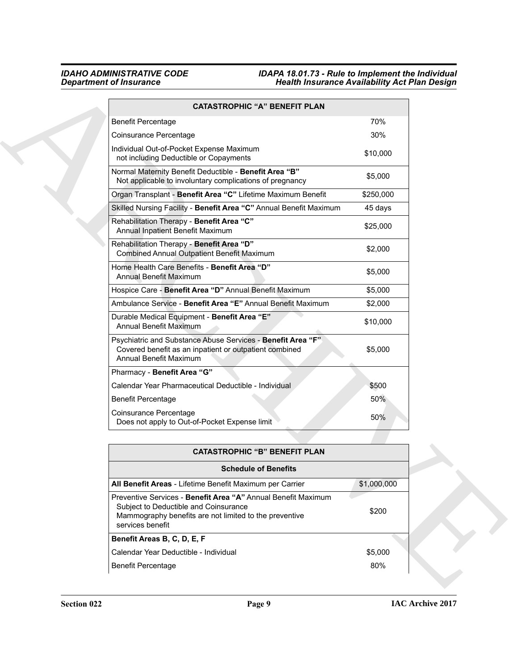| <b>CATASTROPHIC "A" BENEFIT PLAN</b>                                                                                                                                                 |             |
|--------------------------------------------------------------------------------------------------------------------------------------------------------------------------------------|-------------|
| <b>Benefit Percentage</b>                                                                                                                                                            | 70%         |
| Coinsurance Percentage                                                                                                                                                               | 30%         |
| Individual Out-of-Pocket Expense Maximum<br>not including Deductible or Copayments                                                                                                   | \$10,000    |
| Normal Maternity Benefit Deductible - Benefit Area "B"<br>Not applicable to involuntary complications of pregnancy                                                                   | \$5,000     |
| Organ Transplant - Benefit Area "C" Lifetime Maximum Benefit                                                                                                                         | \$250,000   |
| Skilled Nursing Facility - Benefit Area "C" Annual Benefit Maximum                                                                                                                   | 45 days     |
| Rehabilitation Therapy - Benefit Area "C"<br>Annual Inpatient Benefit Maximum                                                                                                        | \$25,000    |
| Rehabilitation Therapy - Benefit Area "D"<br>Combined Annual Outpatient Benefit Maximum                                                                                              | \$2,000     |
| Home Health Care Benefits - Benefit Area "D"<br><b>Annual Benefit Maximum</b>                                                                                                        | \$5,000     |
| Hospice Care - Benefit Area "D" Annual Benefit Maximum                                                                                                                               | \$5,000     |
| Ambulance Service - Benefit Area "E" Annual Benefit Maximum                                                                                                                          | \$2,000     |
| Durable Medical Equipment - Benefit Area "E"<br>Annual Benefit Maximum                                                                                                               | \$10,000    |
| Psychiatric and Substance Abuse Services - Benefit Area "F"<br>Covered benefit as an inpatient or outpatient combined<br>Annual Benefit Maximum                                      | \$5,000     |
| Pharmacy - Benefit Area "G"                                                                                                                                                          |             |
| Calendar Year Pharmaceutical Deductible - Individual                                                                                                                                 | \$500       |
| <b>Benefit Percentage</b>                                                                                                                                                            | 50%         |
| Coinsurance Percentage<br>Does not apply to Out-of-Pocket Expense limit                                                                                                              | 50%         |
| <b>CATASTROPHIC "B" BENEFIT PLAN</b>                                                                                                                                                 |             |
| <b>Schedule of Benefits</b>                                                                                                                                                          |             |
| All Benefit Areas - Lifetime Benefit Maximum per Carrier                                                                                                                             | \$1,000,000 |
| Preventive Services - Benefit Area "A" Annual Benefit Maximum<br>Subject to Deductible and Coinsurance<br>Mammography benefits are not limited to the preventive<br>services benefit | \$200       |
| Benefit Areas B, C, D, E, F                                                                                                                                                          |             |
| Calendar Year Deductible - Individual                                                                                                                                                | \$5,000     |
| <b>Benefit Percentage</b>                                                                                                                                                            | 80%         |

| <b>CATASTROPHIC "B" BENEFIT PLAN</b>                                                                                                                                                 |             |
|--------------------------------------------------------------------------------------------------------------------------------------------------------------------------------------|-------------|
| <b>Schedule of Benefits</b>                                                                                                                                                          |             |
| <b>All Benefit Areas</b> - Lifetime Benefit Maximum per Carrier                                                                                                                      | \$1,000,000 |
| Preventive Services - Benefit Area "A" Annual Benefit Maximum<br>Subject to Deductible and Coinsurance<br>Mammography benefits are not limited to the preventive<br>services benefit | \$200       |
| Benefit Areas B, C, D, E, F                                                                                                                                                          |             |
| Calendar Year Deductible - Individual                                                                                                                                                | \$5,000     |
| <b>Benefit Percentage</b>                                                                                                                                                            | 80%         |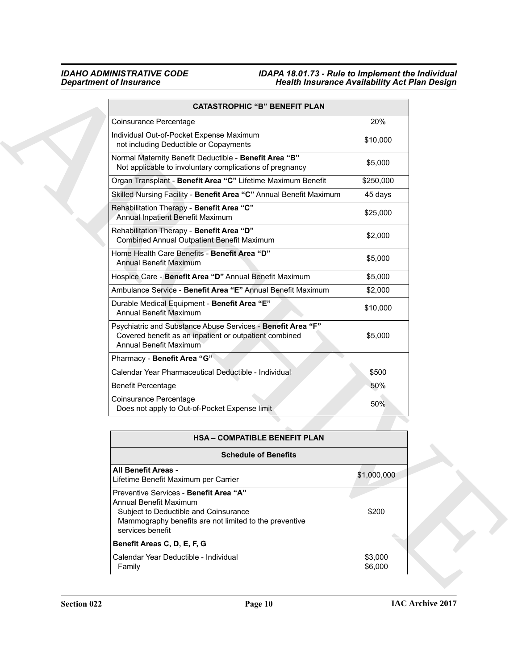| <b>Department of Insurance</b>                                                                                                                                                          | <b>Health Insurance Availability Act Plan Design</b> |  |
|-----------------------------------------------------------------------------------------------------------------------------------------------------------------------------------------|------------------------------------------------------|--|
|                                                                                                                                                                                         | <b>CATASTROPHIC "B" BENEFIT PLAN</b>                 |  |
| Coinsurance Percentage                                                                                                                                                                  | 20%                                                  |  |
| Individual Out-of-Pocket Expense Maximum<br>not including Deductible or Copayments                                                                                                      | \$10,000                                             |  |
| Normal Maternity Benefit Deductible - Benefit Area "B"<br>Not applicable to involuntary complications of pregnancy                                                                      | \$5,000                                              |  |
| Organ Transplant - Benefit Area "C" Lifetime Maximum Benefit                                                                                                                            | \$250,000                                            |  |
| Skilled Nursing Facility - Benefit Area "C" Annual Benefit Maximum                                                                                                                      | 45 days                                              |  |
| Rehabilitation Therapy - Benefit Area "C"<br>Annual Inpatient Benefit Maximum                                                                                                           | \$25,000                                             |  |
| Rehabilitation Therapy - Benefit Area "D"<br>Combined Annual Outpatient Benefit Maximum                                                                                                 | \$2,000                                              |  |
| Home Health Care Benefits - Benefit Area "D"<br><b>Annual Benefit Maximum</b>                                                                                                           | \$5,000                                              |  |
| Hospice Care - Benefit Area "D" Annual Benefit Maximum                                                                                                                                  | \$5,000                                              |  |
| Ambulance Service - Benefit Area "E" Annual Benefit Maximum                                                                                                                             | \$2,000                                              |  |
| Durable Medical Equipment - Benefit Area "E"<br>Annual Benefit Maximum                                                                                                                  | \$10,000                                             |  |
| Psychiatric and Substance Abuse Services - Benefit Area "F"<br>Covered benefit as an inpatient or outpatient combined<br>Annual Benefit Maximum                                         | \$5,000                                              |  |
| Pharmacy - Benefit Area "G"                                                                                                                                                             |                                                      |  |
| Calendar Year Pharmaceutical Deductible - Individual                                                                                                                                    | \$500                                                |  |
| <b>Benefit Percentage</b>                                                                                                                                                               | 50%                                                  |  |
| Coinsurance Percentage<br>Does not apply to Out-of-Pocket Expense limit                                                                                                                 | 50%                                                  |  |
|                                                                                                                                                                                         |                                                      |  |
|                                                                                                                                                                                         | <b>HSA - COMPATIBLE BENEFIT PLAN</b>                 |  |
|                                                                                                                                                                                         | <b>Schedule of Benefits</b>                          |  |
| All Benefit Areas -<br>Lifetime Benefit Maximum per Carrier                                                                                                                             | \$1,000,000                                          |  |
| Preventive Services - Benefit Area "A"<br>Annual Benefit Maximum<br>Subject to Deductible and Coinsurance<br>Mammography benefits are not limited to the preventive<br>services benefit | \$200                                                |  |
| Benefit Areas C, D, E, F, G                                                                                                                                                             |                                                      |  |
| Calendar Year Deductible - Individual<br>Family                                                                                                                                         | \$3,000<br>\$6,000                                   |  |

| <b>HSA - COMPATIBLE BENEFIT PLAN</b>                                                                                                                                                    |                    |
|-----------------------------------------------------------------------------------------------------------------------------------------------------------------------------------------|--------------------|
| <b>Schedule of Benefits</b>                                                                                                                                                             |                    |
| <b>All Benefit Areas -</b><br>Lifetime Benefit Maximum per Carrier                                                                                                                      | \$1,000,000        |
| Preventive Services - Benefit Area "A"<br>Annual Benefit Maximum<br>Subject to Deductible and Coinsurance<br>Mammography benefits are not limited to the preventive<br>services benefit | \$200              |
| Benefit Areas C, D, E, F, G                                                                                                                                                             |                    |
| Calendar Year Deductible - Individual<br>Family                                                                                                                                         | \$3,000<br>\$6,000 |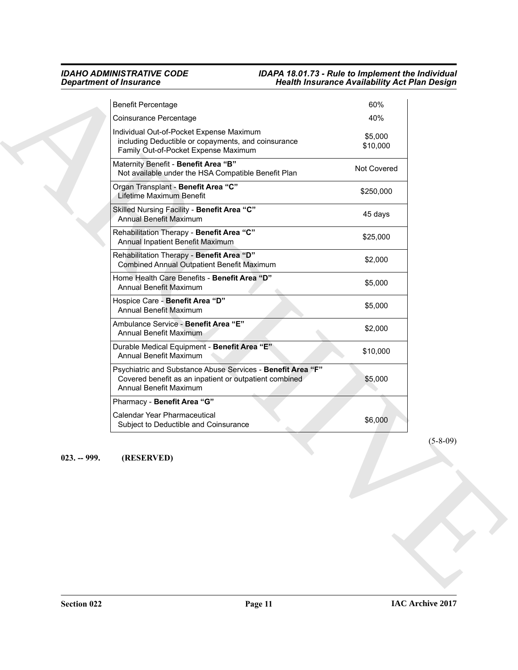<span id="page-10-0"></span>

|               | <b>Department of Insurance</b>                                                                                                                  | <b>Health Insurance Availability Act Plan Design</b> |            |
|---------------|-------------------------------------------------------------------------------------------------------------------------------------------------|------------------------------------------------------|------------|
|               | <b>Benefit Percentage</b>                                                                                                                       | 60%                                                  |            |
|               | Coinsurance Percentage                                                                                                                          | 40%                                                  |            |
|               | Individual Out-of-Pocket Expense Maximum<br>including Deductible or copayments, and coinsurance<br>Family Out-of-Pocket Expense Maximum         | \$5,000<br>\$10,000                                  |            |
|               | Maternity Benefit - Benefit Area "B"<br>Not available under the HSA Compatible Benefit Plan                                                     | Not Covered                                          |            |
|               | Organ Transplant - Benefit Area "C"<br>Lifetime Maximum Benefit                                                                                 | \$250,000                                            |            |
|               | Skilled Nursing Facility - Benefit Area "C"<br><b>Annual Benefit Maximum</b>                                                                    | 45 days                                              |            |
|               | Rehabilitation Therapy - Benefit Area "C"<br>Annual Inpatient Benefit Maximum                                                                   | \$25,000                                             |            |
|               | Rehabilitation Therapy - Benefit Area "D"<br>Combined Annual Outpatient Benefit Maximum                                                         | \$2,000                                              |            |
|               | Home Health Care Benefits - Benefit Area "D"<br><b>Annual Benefit Maximum</b>                                                                   | \$5,000                                              |            |
|               | Hospice Care - Benefit Area "D"<br>Annual Benefit Maximum                                                                                       | \$5,000                                              |            |
|               | Ambulance Service - Benefit Area "E"<br>Annual Benefit Maximum                                                                                  | \$2,000                                              |            |
|               | Durable Medical Equipment - Benefit Area "E"<br>Annual Benefit Maximum                                                                          | \$10,000                                             |            |
|               | Psychiatric and Substance Abuse Services - Benefit Area "F"<br>Covered benefit as an inpatient or outpatient combined<br>Annual Benefit Maximum | \$5,000                                              |            |
|               | Pharmacy - Benefit Area "G"                                                                                                                     |                                                      |            |
|               | Calendar Year Pharmaceutical<br>Subject to Deductible and Coinsurance                                                                           | \$6,000                                              |            |
| $023. - 999.$ | (RESERVED)                                                                                                                                      |                                                      | $(5-8-09)$ |
|               |                                                                                                                                                 |                                                      |            |
|               |                                                                                                                                                 |                                                      |            |
|               |                                                                                                                                                 |                                                      |            |
|               |                                                                                                                                                 |                                                      |            |
|               |                                                                                                                                                 |                                                      |            |
|               |                                                                                                                                                 |                                                      |            |
|               |                                                                                                                                                 |                                                      |            |